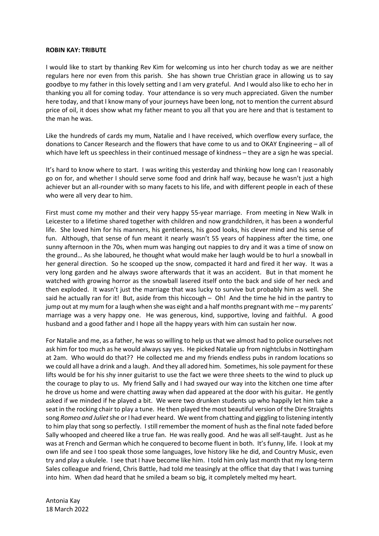## **ROBIN KAY: TRIBUTE**

I would like to start by thanking Rev Kim for welcoming us into her church today as we are neither regulars here nor even from this parish. She has shown true Christian grace in allowing us to say goodbye to my father in this lovely setting and I am very grateful. And I would also like to echo her in thanking you all for coming today. Your attendance is so very much appreciated. Given the number here today, and that I know many of your journeys have been long, not to mention the current absurd price of oil, it does show what my father meant to you all that you are here and that is testament to the man he was.

Like the hundreds of cards my mum, Natalie and I have received, which overflow every surface, the donations to Cancer Research and the flowers that have come to us and to OKAY Engineering – all of which have left us speechless in their continued message of kindness – they are a sign he was special.

It's hard to know where to start. I was writing this yesterday and thinking how long can I reasonably go on for, and whether I should serve some food and drink half way, because he wasn't just a high achiever but an all-rounder with so many facets to his life, and with different people in each of these who were all very dear to him.

First must come my mother and their very happy 55-year marriage. From meeting in New Walk in Leicester to a lifetime shared together with children and now grandchildren, it has been a wonderful life. She loved him for his manners, his gentleness, his good looks, his clever mind and his sense of fun. Although, that sense of fun meant it nearly wasn't 55 years of happiness after the time, one sunny afternoon in the 70s, when mum was hanging out nappies to dry and it was a time of snow on the ground… As she laboured, he thought what would make her laugh would be to hurl a snowball in her general direction. So he scooped up the snow, compacted it hard and fired it her way. It was a very long garden and he always swore afterwards that it was an accident. But in that moment he watched with growing horror as the snowball lasered itself onto the back and side of her neck and then exploded. It wasn't just the marriage that was lucky to survive but probably him as well. She said he actually ran for it! But, aside from this hiccough – Oh! And the time he hid in the pantry to jump out at my mum for a laugh when she was eight and a half months pregnant with me – my parents' marriage was a very happy one. He was generous, kind, supportive, loving and faithful. A good husband and a good father and I hope all the happy years with him can sustain her now.

For Natalie and me, as a father, he was so willing to help us that we almost had to police ourselves not ask him for too much as he would always say yes. He picked Natalie up from nightclubs in Nottingham at 2am. Who would do that?? He collected me and my friends endless pubs in random locations so we could all have a drink and a laugh. And they all adored him. Sometimes, his sole payment for these lifts would be for his shy inner guitarist to use the fact we were three sheets to the wind to pluck up the courage to play to us. My friend Sally and I had swayed our way into the kitchen one time after he drove us home and were chatting away when dad appeared at the door with his guitar. He gently asked if we minded if he played a bit. We were two drunken students up who happily let him take a seat in the rocking chair to play a tune. He then played the most beautiful version of the Dire Straights song *Romeo and Juliet*she or I had ever heard. We went from chatting and giggling to listening intently to him play that song so perfectly. I still remember the moment of hush as the final note faded before Sally whooped and cheered like a true fan. He was really good. And he was all self-taught. Just as he was at French and German which he conquered to become fluent in both. It's funny, life. I look at my own life and see I too speak those some languages, love history like he did, and Country Music, even try and play a ukulele. I see that I have become like him. I told him only last month that my long-term Sales colleague and friend, Chris Battle, had told me teasingly at the office that day that I was turning into him. When dad heard that he smiled a beam so big, it completely melted my heart.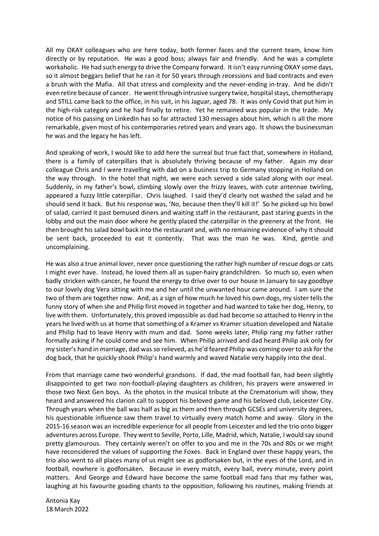All my OKAY colleagues who are here today, both former faces and the current team, know him directly or by reputation. He was a good boss; always fair and friendly. And he was a complete workaholic. He had such energy to drive the Company forward. It isn't easy running OKAY some days, so it almost beggars belief that he ran it for 50 years through recessions and bad contracts and even a brush with the Mafia. All that stress and complexity and the never-ending in-tray. And he didn't even retire because of cancer. He went through intrusive surgery twice, hospital stays, chemotherapy and STILL came back to the office, in his suit, in his Jaguar, aged 78. It was only Covid that put him in the high-risk category and he had finally to retire. Yet he remained was popular in the trade. My notice of his passing on LinkedIn has so far attracted 130 messages about him, which is all the more remarkable, given most of his contemporaries retired years and years ago. It shows the businessman he was and the legacy he has left.

And speaking of work, I would like to add here the surreal but true fact that, somewhere in Holland, there is a family of caterpillars that is absolutely thriving because of my father. Again my dear colleague Chris and I were travelling with dad on a business trip to Germany stopping in Holland on the way through. In the hotel that night, we were each served a side salad along with our meal. Suddenly, in my father's bowl, climbing slowly over the frizzy leaves, with cute antennae twirling, appeared a fuzzy little caterpillar. Chris laughed. I said they'd clearly not washed the salad and he should send it back. But his response was, 'No, because then they'll kill it!' So he picked up his bowl of salad, carried it past bemused diners and waiting staff in the restaurant, past staring guests in the lobby and out the main door where he gently placed the caterpillar in the greenery at the front. He then brought his salad bowl back into the restaurant and, with no remaining evidence of why it should be sent back, proceeded to eat it contently. That was the man he was. Kind, gentle and uncomplaining.

He was also a true animal lover, never once questioning the rather high number of rescue dogs or cats I might ever have. Instead, he loved them all as super-hairy grandchildren. So much so, even when badly stricken with cancer, he found the energy to drive over to our house in January to say goodbye to our lovely dog Vera sitting with me and her until the unwanted hour came around. I am sure the two of them are together now. And, as a sign of how much he loved his own dogs, my sister tells the funny story of when she and Philip first moved in together and had wanted to take her dog, Henry, to live with them. Unfortunately, this proved impossible as dad had become so attached to Henry in the years he lived with us at home that something of a Kramer vs Kramer situation developed and Natalie and Philip had to leave Henry with mum and dad. Some weeks later, Philip rang my father rather formally asking if he could come and see him. When Philip arrived and dad heard Philip ask only for my sister's hand in marriage, dad was so relieved, as he'd feared Philip was coming over to ask for the dog back, that he quickly shook Philip's hand warmly and waved Natalie very happily into the deal.

From that marriage came two wonderful grandsons. If dad, the mad football fan, had been slightly disappointed to get two non-football-playing daughters as children, his prayers were answered in those two Next Gen boys. As the photos in the musical tribute at the Crematorium will show, they heard and answered his clarion call to support his beloved game and his beloved club, Leicester City. Through years when the ball was half as big as them and then through GCSEs and university degrees, his questionable influence saw them travel to virtually every match home and away. Glory in the 2015-16 season was an incredible experience for all people from Leicester and led the trio onto bigger adventures across Europe. They went to Seville, Porto, Lille, Madrid, which, Natalie, I would say sound pretty glamourous. They certainly weren't on offer to you and me in the 70s and 80s or we might have reconsidered the values of supporting the Foxes. Back in England over these happy years, the trio also went to all places many of us might see as godforsaken but, in the eyes of the Lord, and in football, nowhere is godforsaken. Because in every match, every ball, every minute, every point matters. And George and Edward have become the same football mad fans that my father was, laughing at his favourite goading chants to the opposition, following his routines, making friends at

Antonia Kay 18 March 2022